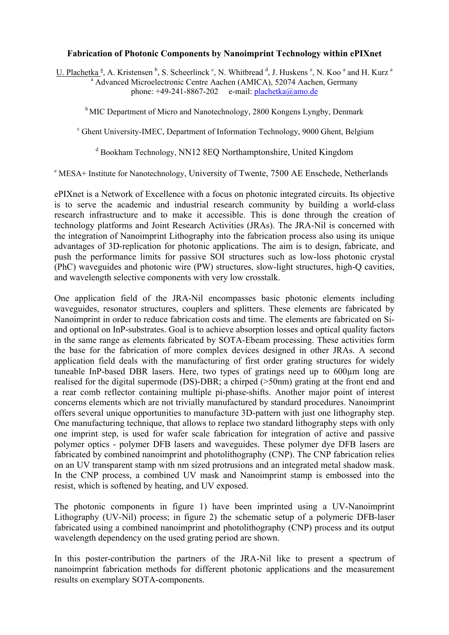## **Fabrication of Photonic Components by Nanoimprint Technology within ePIXnet**

U. Plachetka  $\frac{a}{r}$ , A. Kristensen  $\frac{b}{r}$ , S. Scheerlinck  $\frac{c}{r}$ , N. Whitbread  $\frac{d}{r}$ , J. Huskens  $\frac{e}{r}$ , N. Koo  $\frac{a}{r}$  and H. Kurz  $\frac{a}{r}$ <sup>a</sup> Advanced Microelectronic Centre Aachen (AMICA), 52074 Aachen, Germany phone:  $+49-241-8867-202$  e-mail:  $plachetka@amo.de$ 

<sup>b</sup> MIC Department of Micro and Nanotechnology, 2800 Kongens Lyngby, Denmark

<sup>c</sup> Ghent University-IMEC, Department of Information Technology, 9000 Ghent, Belgium

d Bookham Technology, NN12 8EQ Northamptonshire, United Kingdom

e MESA+ Institute for Nanotechnology, University of Twente, 7500 AE Enschede, Netherlands

ePIXnet is a Network of Excellence with a focus on photonic integrated circuits. Its objective is to serve the academic and industrial research community by building a world-class research infrastructure and to make it accessible. This is done through the creation of technology platforms and Joint Research Activities (JRAs). The JRA-Nil is concerned with the integration of Nanoimprint Lithography into the fabrication process also using its unique advantages of 3D-replication for photonic applications. The aim is to design, fabricate, and push the performance limits for passive SOI structures such as low-loss photonic crystal (PhC) waveguides and photonic wire (PW) structures, slow-light structures, high-Q cavities, and wavelength selective components with very low crosstalk.

One application field of the JRA-Nil encompasses basic photonic elements including waveguides, resonator structures, couplers and splitters. These elements are fabricated by Nanoimprint in order to reduce fabrication costs and time. The elements are fabricated on Siand optional on InP-substrates. Goal is to achieve absorption losses and optical quality factors in the same range as elements fabricated by SOTA-Ebeam processing. These activities form the base for the fabrication of more complex devices designed in other JRAs. A second application field deals with the manufacturing of first order grating structures for widely tuneable InP-based DBR lasers. Here, two types of gratings need up to 600µm long are realised for the digital supermode (DS)-DBR; a chirped (>50nm) grating at the front end and a rear comb reflector containing multiple pi-phase-shifts. Another major point of interest concerns elements which are not trivially manufactured by standard procedures. Nanoimprint offers several unique opportunities to manufacture 3D-pattern with just one lithography step. One manufacturing technique, that allows to replace two standard lithography steps with only one imprint step, is used for wafer scale fabrication for integration of active and passive polymer optics - polymer DFB lasers and waveguides. These polymer dye DFB lasers are fabricated by combined nanoimprint and photolithography (CNP). The CNP fabrication relies on an UV transparent stamp with nm sized protrusions and an integrated metal shadow mask. In the CNP process, a combined UV mask and Nanoimprint stamp is embossed into the resist, which is softened by heating, and UV exposed.

The photonic components in figure 1) have been imprinted using a UV-Nanoimprint Lithography (UV-Nil) process; in figure 2) the schematic setup of a polymeric DFB-laser fabricated using a combined nanoimprint and photolithography (CNP) process and its output wavelength dependency on the used grating period are shown.

In this poster-contribution the partners of the JRA-Nil like to present a spectrum of nanoimprint fabrication methods for different photonic applications and the measurement results on exemplary SOTA-components.